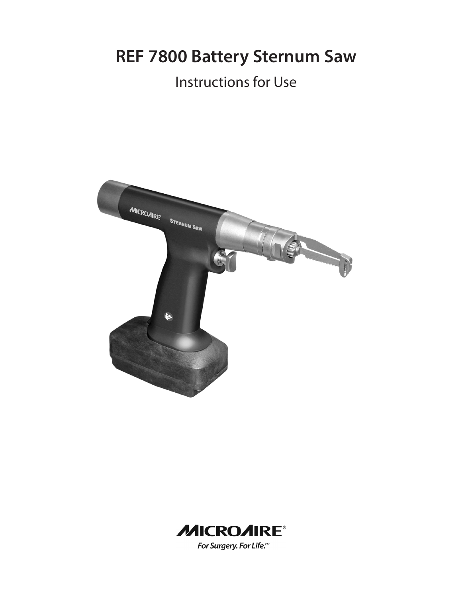**REF 7800 Battery Sternum Saw**

## Instructions for Use



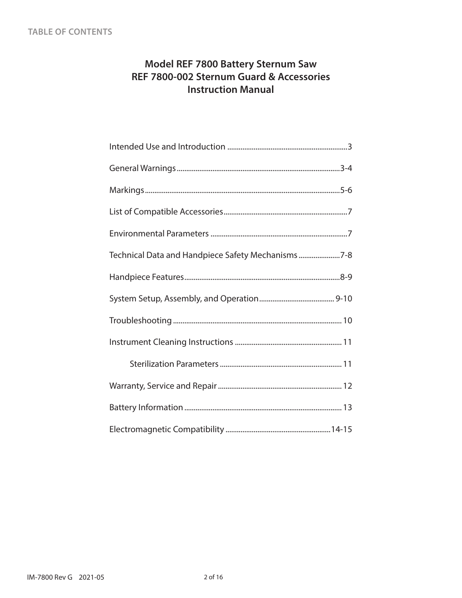## **Model REF 7800 Battery Sternum Saw REF 7800-002 Sternum Guard & Accessories Instruction Manual**

| Technical Data and Handpiece Safety Mechanisms7-8 |
|---------------------------------------------------|
|                                                   |
|                                                   |
|                                                   |
|                                                   |
|                                                   |
|                                                   |
|                                                   |
|                                                   |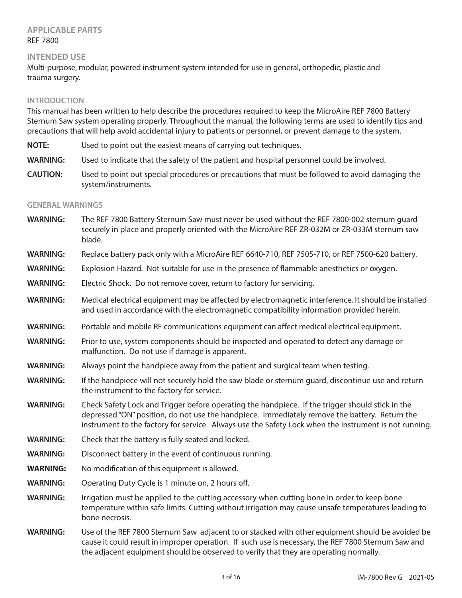## **APPLICABLE PARTS** REF 7800

#### **INTENDED USE**

Multi-purpose, modular, powered instrument system intended for use in general, orthopedic, plastic and trauma surgery.

#### **INTRODUCTION**

This manual has been written to help describe the procedures required to keep the MicroAire REF 7800 Battery Sternum Saw system operating properly. Throughout the manual, the following terms are used to identify tips and precautions that will help avoid accidental injury to patients or personnel, or prevent damage to the system.

**NOTE:** Used to point out the easiest means of carrying out techniques.

**WARNING:** Used to indicate that the safety of the patient and hospital personnel could be involved.

**CAUTION:** Used to point out special procedures or precautions that must be followed to avoid damaging the system/instruments.

#### **GENERAL WARNINGS**

| <b>WARNING:</b> | The REF 7800 Battery Sternum Saw must never be used without the REF 7800-002 sternum quard<br>securely in place and properly oriented with the MicroAire REF ZR-032M or ZR-033M sternum saw<br>blade.                                                                                                      |
|-----------------|------------------------------------------------------------------------------------------------------------------------------------------------------------------------------------------------------------------------------------------------------------------------------------------------------------|
| <b>WARNING:</b> | Replace battery pack only with a MicroAire REF 6640-710, REF 7505-710, or REF 7500-620 battery.                                                                                                                                                                                                            |
| <b>WARNING:</b> | Explosion Hazard. Not suitable for use in the presence of flammable anesthetics or oxygen.                                                                                                                                                                                                                 |
| <b>WARNING:</b> | Electric Shock. Do not remove cover, return to factory for servicing.                                                                                                                                                                                                                                      |
| <b>WARNING:</b> | Medical electrical equipment may be affected by electromagnetic interference. It should be installed<br>and used in accordance with the electromagnetic compatibility information provided herein.                                                                                                         |
| <b>WARNING:</b> | Portable and mobile RF communications equipment can affect medical electrical equipment.                                                                                                                                                                                                                   |
| <b>WARNING:</b> | Prior to use, system components should be inspected and operated to detect any damage or<br>malfunction. Do not use if damage is apparent.                                                                                                                                                                 |
| <b>WARNING:</b> | Always point the handpiece away from the patient and surgical team when testing.                                                                                                                                                                                                                           |
| <b>WARNING:</b> | If the handpiece will not securely hold the saw blade or sternum guard, discontinue use and return<br>the instrument to the factory for service.                                                                                                                                                           |
| <b>WARNING:</b> | Check Safety Lock and Trigger before operating the handpiece. If the trigger should stick in the<br>depressed "ON" position, do not use the handpiece. Immediately remove the battery. Return the<br>instrument to the factory for service. Always use the Safety Lock when the instrument is not running. |
| <b>WARNING:</b> | Check that the battery is fully seated and locked.                                                                                                                                                                                                                                                         |
| <b>WARNING:</b> | Disconnect battery in the event of continuous running.                                                                                                                                                                                                                                                     |
| <b>WARNING:</b> | No modification of this equipment is allowed.                                                                                                                                                                                                                                                              |
| <b>WARNING:</b> | Operating Duty Cycle is 1 minute on, 2 hours off.                                                                                                                                                                                                                                                          |
| <b>WARNING:</b> | Irrigation must be applied to the cutting accessory when cutting bone in order to keep bone<br>temperature within safe limits. Cutting without irrigation may cause unsafe temperatures leading to<br>bone necrosis.                                                                                       |
| <b>WARNING:</b> | Use of the REF 7800 Sternum Saw adjacent to or stacked with other equipment should be avoided be<br>cause it could result in improper operation. If such use is necessary, the REF 7800 Sternum Saw and<br>the adjacent equipment should be observed to verify that they are operating normally.           |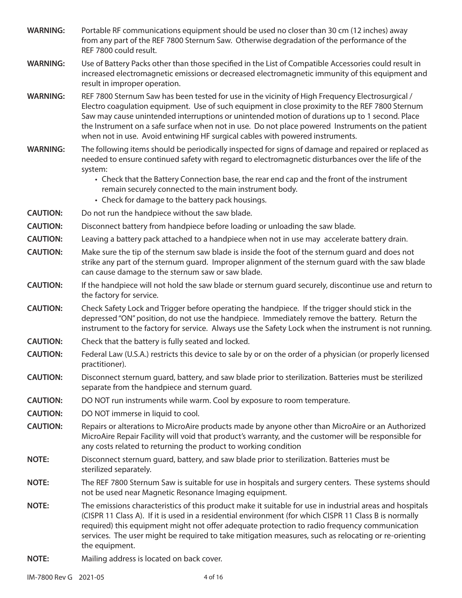- **WARNING:** Portable RF communications equipment should be used no closer than 30 cm (12 inches) away from any part of the REF 7800 Sternum Saw. Otherwise degradation of the performance of the REF 7800 could result.
- **WARNING:** Use of Battery Packs other than those specified in the List of Compatible Accessories could result in increased electromagnetic emissions or decreased electromagnetic immunity of this equipment and result in improper operation.
- **WARNING:** REF 7800 Sternum Saw has been tested for use in the vicinity of High Frequency Electrosurgical / Electro coagulation equipment. Use of such equipment in close proximity to the REF 7800 Sternum Saw may cause unintended interruptions or unintended motion of durations up to 1 second. Place the Instrument on a safe surface when not in use. Do not place powered Instruments on the patient when not in use. Avoid entwining HF surgical cables with powered instruments.
- **WARNING:** The following items should be periodically inspected for signs of damage and repaired or replaced as needed to ensure continued safety with regard to electromagnetic disturbances over the life of the system:
	- Check that the Battery Connection base, the rear end cap and the front of the instrument remain securely connected to the main instrument body.
	- Check for damage to the battery pack housings.
- **CAUTION:** Do not run the handpiece without the saw blade.
- **CAUTION:** Disconnect battery from handpiece before loading or unloading the saw blade.
- **CAUTION:** Leaving a battery pack attached to a handpiece when not in use may accelerate battery drain.
- **CAUTION:** Make sure the tip of the sternum saw blade is inside the foot of the sternum guard and does not strike any part of the sternum guard. Improper alignment of the sternum guard with the saw blade can cause damage to the sternum saw or saw blade.
- **CAUTION:** If the handpiece will not hold the saw blade or sternum guard securely, discontinue use and return to the factory for service.
- **CAUTION:** Check Safety Lock and Trigger before operating the handpiece. If the trigger should stick in the depressed "ON" position, do not use the handpiece. Immediately remove the battery. Return the instrument to the factory for service. Always use the Safety Lock when the instrument is not running.
- **CAUTION:** Check that the battery is fully seated and locked.
- **CAUTION:** Federal Law (U.S.A.) restricts this device to sale by or on the order of a physician (or properly licensed practitioner).
- **CAUTION:** Disconnect sternum guard, battery, and saw blade prior to sterilization. Batteries must be sterilized separate from the handpiece and sternum guard.
- **CAUTION:** DO NOT run instruments while warm. Cool by exposure to room temperature.
- **CAUTION:** DO NOT immerse in liquid to cool.
- **CAUTION:** Repairs or alterations to MicroAire products made by anyone other than MicroAire or an Authorized MicroAire Repair Facility will void that product's warranty, and the customer will be responsible for any costs related to returning the product to working condition
- **NOTE:** Disconnect sternum guard, battery, and saw blade prior to sterilization. Batteries must be sterilized separately.
- **NOTE:** The REF 7800 Sternum Saw is suitable for use in hospitals and surgery centers. These systems should not be used near Magnetic Resonance Imaging equipment.
- **NOTE:** The emissions characteristics of this product make it suitable for use in industrial areas and hospitals (CISPR 11 Class A). If it is used in a residential environment (for which CISPR 11 Class B is normally required) this equipment might not offer adequate protection to radio frequency communication services. The user might be required to take mitigation measures, such as relocating or re-orienting the equipment.
- **NOTE:** Mailing address is located on back cover.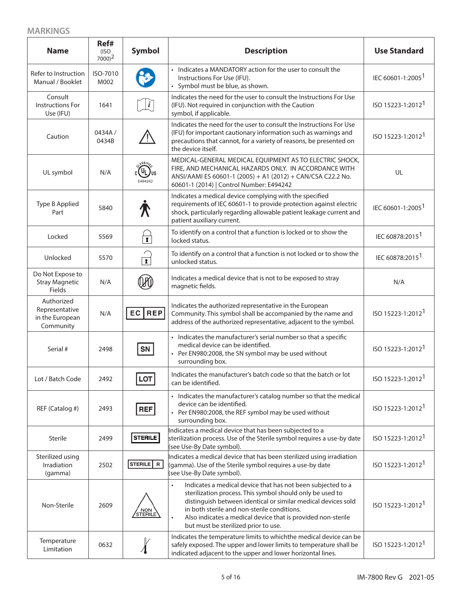## **MARKINGS**

| <b>Name</b>                                                  | Ref#<br>(ISO<br>$7000$ <sup>2</sup> | <b>Symbol</b>           | <b>Description</b>                                                                                                                                                                                                                                                                                                                                                         | <b>Use Standard</b>           |
|--------------------------------------------------------------|-------------------------------------|-------------------------|----------------------------------------------------------------------------------------------------------------------------------------------------------------------------------------------------------------------------------------------------------------------------------------------------------------------------------------------------------------------------|-------------------------------|
| Refer to Instruction<br>Manual / Booklet                     | ISO-7010<br>M002                    |                         | • Indicates a MANDATORY action for the user to consult the<br>Instructions For Use (IFU).<br>• Symbol must be blue, as shown.                                                                                                                                                                                                                                              | IEC 60601-1:2005 <sup>1</sup> |
| Consult<br><b>Instructions For</b><br>Use (IFU)              | 1641                                | $\lfloor i \rfloor$     | Indicates the need for the user to consult the Instructions For Use<br>(IFU). Not required in conjunction with the Caution<br>symbol, if applicable.                                                                                                                                                                                                                       | ISO 15223-1:2012 <sup>1</sup> |
| Caution                                                      | 0434A/<br>0434B                     |                         | Indicates the need for the user to consult the Instructions For Use<br>(IFU) for important cautionary information such as warnings and<br>precautions that cannot, for a variety of reasons, be presented on<br>the device itself.                                                                                                                                         | ISO 15223-1:2012 <sup>1</sup> |
| UL symbol                                                    | N/A                                 | ASSIFIC<br>E494242      | MEDICAL-GENERAL MEDICAL EQUIPMENT AS TO ELECTRIC SHOCK,<br>FIRE, AND MECHANICAL HAZARDS ONLY. IN ACCORDANCE WITH<br>ANSI/AAMI ES 60601-1 (2005) + A1 (2012) + CAN/CSA C22.2 No.<br>60601-1 (2014)   Control Number: E494242                                                                                                                                                | UL                            |
| Type B Applied<br>Part                                       | 5840                                |                         | Indicates a medical device complying with the specified<br>requirements of IEC 60601-1 to provide protection against electric<br>shock, particularly regarding allowable patient leakage current and<br>patient auxiliary current.                                                                                                                                         | IEC 60601-1:2005 <sup>1</sup> |
| Locked                                                       | 5569                                | $\overline{\mathbf{r}}$ | To identify on a control that a function is locked or to show the<br>locked status.                                                                                                                                                                                                                                                                                        | IEC 60878:2015 <sup>1</sup>   |
| Unlocked                                                     | 5570                                | $\sqrt{1}$              | To identify on a control that a function is not locked or to show the<br>unlocked status.                                                                                                                                                                                                                                                                                  | IEC 60878:2015 <sup>1</sup>   |
| Do Not Expose to<br><b>Stray Magnetic</b><br>Fields          | N/A                                 |                         | Indicates a medical device that is not to be exposed to stray<br>magnetic fields.                                                                                                                                                                                                                                                                                          | N/A                           |
| Authorized<br>Representative<br>in the European<br>Community | N/A                                 | EC REP                  | Indicates the authorized representative in the European<br>Community. This symbol shall be accompanied by the name and<br>address of the authorized representative, adjacent to the symbol.                                                                                                                                                                                | ISO 15223-1:2012 <sup>1</sup> |
| Serial #                                                     | 2498                                | SN                      | • Indicates the manufacturer's serial number so that a specific<br>medical device can be identified.<br>• Per EN980:2008, the SN symbol may be used without<br>surrounding box.                                                                                                                                                                                            | ISO 15223-1:2012 <sup>1</sup> |
| Lot / Batch Code                                             | 2492                                | LOT                     | Indicates the manufacturer's batch code so that the batch or lot<br>can be identified.                                                                                                                                                                                                                                                                                     | ISO 15223-1:2012 <sup>1</sup> |
| REF (Catalog #)                                              | 2493                                | <b>REF</b>              | • Indicates the manufacturer's catalog number so that the medical<br>device can be identified.<br>• Per EN980:2008, the REF symbol may be used without<br>surrounding box.                                                                                                                                                                                                 | ISO 15223-1:2012 <sup>1</sup> |
| Sterile                                                      | 2499                                | <b>STERILE</b>          | Indicates a medical device that has been subjected to a<br>sterilization process. Use of the Sterile symbol requires a use-by date<br>(see Use-By Date symbol).                                                                                                                                                                                                            | ISO 15223-1:2012 <sup>1</sup> |
| Sterilized using<br>Irradiation<br>(gamma)                   | 2502                                | STERILE   R             | Indicates a medical device that has been sterilized using irradiation<br>(gamma). Use of the Sterile symbol requires a use-by date<br>(see Use-By Date symbol).                                                                                                                                                                                                            | ISO 15223-1:2012 <sup>1</sup> |
| Non-Sterile                                                  | 2609                                | / NON \<br>STERILE      | Indicates a medical device that has not been subjected to a<br>$\bullet$<br>sterilization process. This symbol should only be used to<br>distinguish between identical or similar medical devices sold<br>in both sterile and non-sterile conditions.<br>Also indicates a medical device that is provided non-sterile<br>$\bullet$<br>but must be sterilized prior to use. | ISO 15223-1:2012 <sup>1</sup> |
| Temperature<br>Limitation                                    | 0632                                |                         | Indicates the temperature limits to whichthe medical device can be<br>safely exposed. The upper and lower limits to temperature shall be<br>indicated adjacent to the upper and lower horizontal lines.                                                                                                                                                                    | ISO 15223-1:2012 <sup>1</sup> |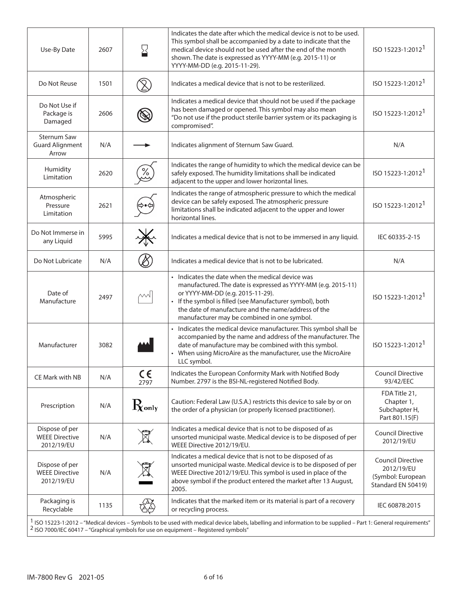| Use-By Date                                           | 2607 | ⊠               | Indicates the date after which the medical device is not to be used.<br>This symbol shall be accompanied by a date to indicate that the<br>medical device should not be used after the end of the month<br>shown. The date is expressed as YYYY-MM (e.g. 2015-11) or<br>YYYY-MM-DD (e.g. 2015-11-29).                    | ISO 15223-1:2012 <sup>1</sup>                                                     |
|-------------------------------------------------------|------|-----------------|--------------------------------------------------------------------------------------------------------------------------------------------------------------------------------------------------------------------------------------------------------------------------------------------------------------------------|-----------------------------------------------------------------------------------|
| Do Not Reuse                                          | 1501 |                 | Indicates a medical device that is not to be resterilized.                                                                                                                                                                                                                                                               | ISO 15223-1:2012 <sup>1</sup>                                                     |
| Do Not Use if<br>Package is<br>Damaged                | 2606 |                 | Indicates a medical device that should not be used if the package<br>has been damaged or opened. This symbol may also mean<br>"Do not use if the product sterile barrier system or its packaging is<br>compromised".                                                                                                     | ISO 15223-1:2012 <sup>1</sup>                                                     |
| <b>Sternum Saw</b><br><b>Guard Alignment</b><br>Arrow | N/A  |                 | Indicates alignment of Sternum Saw Guard.                                                                                                                                                                                                                                                                                | N/A                                                                               |
| Humidity<br>Limitation                                | 2620 | ℅               | Indicates the range of humidity to which the medical device can be<br>safely exposed. The humidity limitations shall be indicated<br>adjacent to the upper and lower horizontal lines.                                                                                                                                   | ISO 15223-1:2012                                                                  |
| Atmospheric<br>Pressure<br>Limitation                 | 2621 |                 | Indicates the range of atmospheric pressure to which the medical<br>device can be safely exposed. The atmospheric pressure<br>limitations shall be indicated adjacent to the upper and lower<br>horizontal lines.                                                                                                        | ISO 15223-1:2012                                                                  |
| Do Not Immerse in<br>any Liquid                       | 5995 |                 | Indicates a medical device that is not to be immersed in any liquid.                                                                                                                                                                                                                                                     | IEC 60335-2-15                                                                    |
| Do Not Lubricate                                      | N/A  |                 | Indicates a medical device that is not to be lubricated.                                                                                                                                                                                                                                                                 | N/A                                                                               |
| Date of<br>Manufacture                                | 2497 | $\sim$          | • Indicates the date when the medical device was<br>manufactured. The date is expressed as YYYY-MM (e.g. 2015-11)<br>or YYYY-MM-DD (e.g. 2015-11-29).<br>• If the symbol is filled (see Manufacturer symbol), both<br>the date of manufacture and the name/address of the<br>manufacturer may be combined in one symbol. | ISO 15223-1:2012 <sup>1</sup>                                                     |
| Manufacturer                                          | 3082 |                 | • Indicates the medical device manufacturer. This symbol shall be<br>accompanied by the name and address of the manufacturer. The<br>date of manufacture may be combined with this symbol.<br>When using MicroAire as the manufacturer, use the MicroAire<br>LLC symbol.                                                 | ISO 15223-1:2012                                                                  |
| CE Mark with NB                                       | N/A  | $C \in$<br>2797 | Indicates the European Conformity Mark with Notified Body<br>Number. 2797 is the BSI-NL-registered Notified Body.                                                                                                                                                                                                        | <b>Council Directive</b><br>93/42/EEC                                             |
| Prescription                                          | N/A  | $\rm R$ only    | Caution: Federal Law (U.S.A.) restricts this device to sale by or on<br>the order of a physician (or properly licensed practitioner).                                                                                                                                                                                    | FDA Title 21,<br>Chapter 1,<br>Subchapter H,<br>Part 801.15(F)                    |
| Dispose of per<br><b>WEEE Directive</b><br>2012/19/EU | N/A  | $\boxtimes$     | Indicates a medical device that is not to be disposed of as<br>unsorted municipal waste. Medical device is to be disposed of per<br>WEEE Directive 2012/19/EU.                                                                                                                                                           | <b>Council Directive</b><br>2012/19/EU                                            |
| Dispose of per<br><b>WEEE Directive</b><br>2012/19/EU | N/A  |                 | Indicates a medical device that is not to be disposed of as<br>unsorted municipal waste. Medical device is to be disposed of per<br>WEEE Directive 2012/19/EU. This symbol is used in place of the<br>above symbol if the product entered the market after 13 August,<br>2005.                                           | <b>Council Directive</b><br>2012/19/EU<br>(Symbol: European<br>Standard EN 50419) |
| Packaging is<br>Recyclable                            | 1135 |                 | Indicates that the marked item or its material is part of a recovery<br>or recycling process.                                                                                                                                                                                                                            | IEC 60878:2015                                                                    |
|                                                       |      |                 | 1 ISO 15223-1:2012 - "Medical devices - Symbols to be used with medical device labels, labelling and information to be supplied - Part 1: General requirements"<br><sup>2</sup> ISO 7000/IEC 60417 - "Graphical symbols for use on equipment - Registered symbols"                                                       |                                                                                   |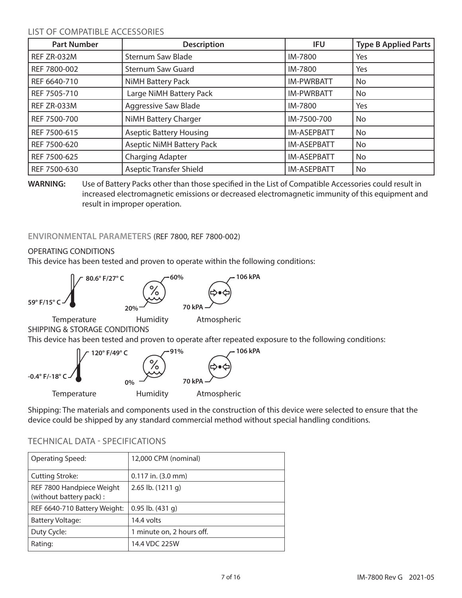## LIST OF COMPATIBLE ACCESSORIES

| <b>Part Number</b> | <b>Description</b>               | <b>IFU</b>         | <b>Type B Applied Parts</b> |
|--------------------|----------------------------------|--------------------|-----------------------------|
| REF ZR-032M        | <b>Sternum Saw Blade</b>         | IM-7800            | Yes                         |
| REF 7800-002       | <b>Sternum Saw Guard</b>         | IM-7800            | Yes                         |
| REF 6640-710       | NiMH Battery Pack                | <b>IM-PWRBATT</b>  | No                          |
| REF 7505-710       | Large NiMH Battery Pack          | <b>IM-PWRBATT</b>  | No                          |
| REF ZR-033M        | <b>Aggressive Saw Blade</b>      | IM-7800            | Yes                         |
| REF 7500-700       | NiMH Battery Charger             | IM-7500-700        | No                          |
| REF 7500-615       | <b>Aseptic Battery Housing</b>   | <b>IM-ASEPBATT</b> | No                          |
| REF 7500-620       | <b>Aseptic NiMH Battery Pack</b> | <b>IM-ASEPBATT</b> | No                          |
| REF 7500-625       | Charging Adapter                 | <b>IM-ASEPBATT</b> | No                          |
| REF 7500-630       | <b>Aseptic Transfer Shield</b>   | <b>IM-ASEPBATT</b> | No                          |

**WARNING:** Use of Battery Packs other than those specified in the List of Compatible Accessories could result in increased electromagnetic emissions or decreased electromagnetic immunity of this equipment and result in improper operation.

## **ENVIRONMENTAL PARAMETERS** (REF 7800, REF 7800-002)

## OPERATING CONDITIONS

This device has been tested and proven to operate within the following conditions:





Shipping: The materials and components used in the construction of this device were selected to ensure that the device could be shipped by any standard commercial method without special handling conditions.

| Operating Speed:                                     | 12,000 CPM (nominal)      |
|------------------------------------------------------|---------------------------|
| <b>Cutting Stroke:</b>                               | $0.117$ in. $(3.0$ mm)    |
| REF 7800 Handpiece Weight<br>(without battery pack): | 2.65 lb. (1211 g)         |
| REF 6640-710 Battery Weight:                         | $0.95$ lb. $(431 g)$      |
| Battery Voltage:                                     | 14.4 volts                |
| Duty Cycle:                                          | 1 minute on, 2 hours off. |
| Rating:                                              | 14.4 VDC 225W             |

## TECHNICAL DATA - SPECIFICATIONS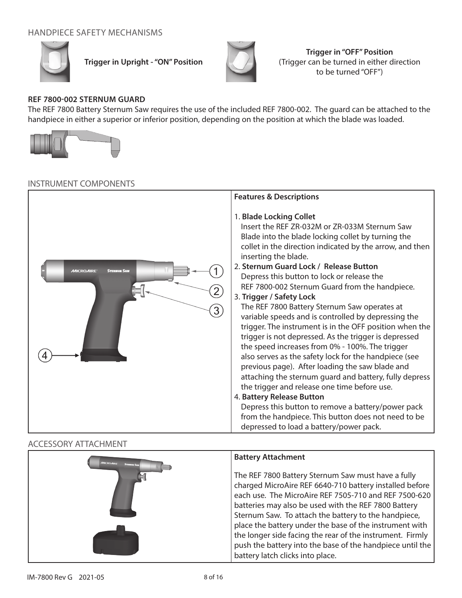## HANDPIECE SAFETY MECHANISMS



**Trigger in Upright - "ON" Position**



**Trigger in "OFF" Position** (Trigger can be turned in either direction to be turned "OFF")

## **REF 7800-002 STERNUM GUARD**

The REF 7800 Battery Sternum Saw requires the use of the included REF 7800-002. The guard can be attached to the handpiece in either a superior or inferior position, depending on the position at which the blade was loaded.



#### INSTRUMENT COMPONENTS

|                                                            | <b>Features &amp; Descriptions</b>                                                                                                                                                                                                                                                                                                                                                                                                                                                                                                                                                                                                                                                                                                                                                                                                                                                                                                                                                                                                                                                |
|------------------------------------------------------------|-----------------------------------------------------------------------------------------------------------------------------------------------------------------------------------------------------------------------------------------------------------------------------------------------------------------------------------------------------------------------------------------------------------------------------------------------------------------------------------------------------------------------------------------------------------------------------------------------------------------------------------------------------------------------------------------------------------------------------------------------------------------------------------------------------------------------------------------------------------------------------------------------------------------------------------------------------------------------------------------------------------------------------------------------------------------------------------|
| <b>STERNUM SAW</b><br><b>MICROAIRE</b><br>$\left[3\right)$ | 1. Blade Locking Collet<br>Insert the REF ZR-032M or ZR-033M Sternum Saw<br>Blade into the blade locking collet by turning the<br>collet in the direction indicated by the arrow, and then<br>inserting the blade.<br>2. Sternum Guard Lock / Release Button<br>Depress this button to lock or release the<br>REF 7800-002 Sternum Guard from the handpiece.<br>3. Trigger / Safety Lock<br>The REF 7800 Battery Sternum Saw operates at<br>variable speeds and is controlled by depressing the<br>trigger. The instrument is in the OFF position when the<br>trigger is not depressed. As the trigger is depressed<br>the speed increases from 0% - 100%. The trigger<br>also serves as the safety lock for the handpiece (see<br>previous page). After loading the saw blade and<br>attaching the sternum guard and battery, fully depress<br>the trigger and release one time before use.<br>4. Battery Release Button<br>Depress this button to remove a battery/power pack<br>from the handpiece. This button does not need to be<br>depressed to load a battery/power pack. |

## ACCESSORY ATTACHMENT

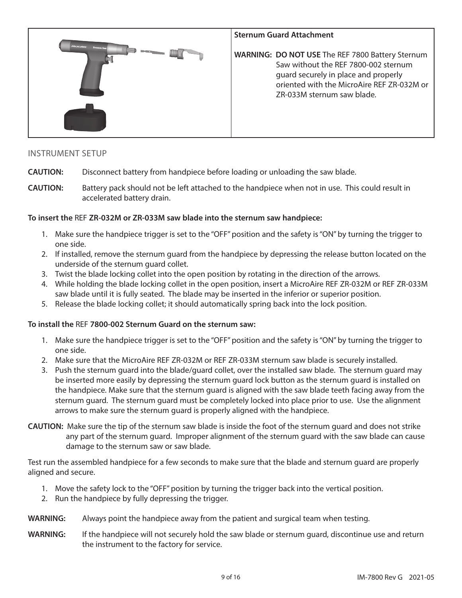

### INSTRUMENT SETUP

- **CAUTION:** Disconnect battery from handpiece before loading or unloading the saw blade.
- **CAUTION:** Battery pack should not be left attached to the handpiece when not in use. This could result in accelerated battery drain.

#### **To insert the** REF **ZR-032M or ZR-033M saw blade into the sternum saw handpiece:**

- 1. Make sure the handpiece trigger is set to the "OFF" position and the safety is "ON" by turning the trigger to one side.
- 2. If installed, remove the sternum guard from the handpiece by depressing the release button located on the underside of the sternum guard collet.
- 3. Twist the blade locking collet into the open position by rotating in the direction of the arrows.
- 4. While holding the blade locking collet in the open position, insert a MicroAire REF ZR-032M or REF ZR-033M saw blade until it is fully seated. The blade may be inserted in the inferior or superior position.
- 5. Release the blade locking collet; it should automatically spring back into the lock position.

#### **To install the** REF **7800-002 Sternum Guard on the sternum saw:**

- 1. Make sure the handpiece trigger is set to the "OFF" position and the safety is "ON" by turning the trigger to one side.
- 2. Make sure that the MicroAire REF ZR-032M or REF ZR-033M sternum saw blade is securely installed.
- 3. Push the sternum guard into the blade/guard collet, over the installed saw blade. The sternum guard may be inserted more easily by depressing the sternum guard lock button as the sternum guard is installed on the handpiece. Make sure that the sternum guard is aligned with the saw blade teeth facing away from the sternum guard. The sternum guard must be completely locked into place prior to use. Use the alignment arrows to make sure the sternum guard is properly aligned with the handpiece.
- **CAUTION:** Make sure the tip of the sternum saw blade is inside the foot of the sternum guard and does not strike any part of the sternum guard. Improper alignment of the sternum guard with the saw blade can cause damage to the sternum saw or saw blade.

Test run the assembled handpiece for a few seconds to make sure that the blade and sternum guard are properly aligned and secure.

- 1. Move the safety lock to the "OFF" position by turning the trigger back into the vertical position.
- 2. Run the handpiece by fully depressing the trigger.
- **WARNING:** Always point the handpiece away from the patient and surgical team when testing.
- **WARNING:** If the handpiece will not securely hold the saw blade or sternum guard, discontinue use and return the instrument to the factory for service.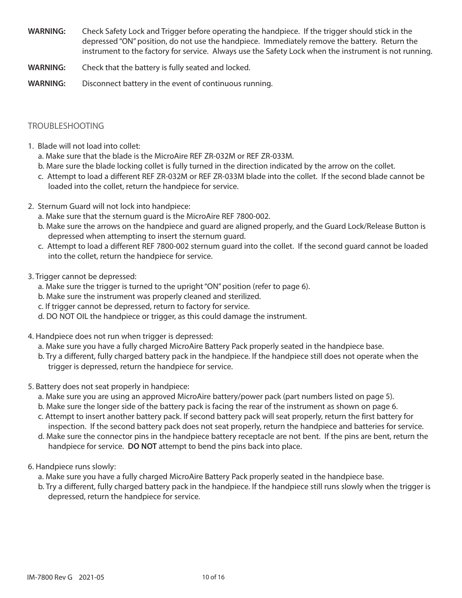- **WARNING:** Check Safety Lock and Trigger before operating the handpiece. If the trigger should stick in the depressed "ON" position, do not use the handpiece. Immediately remove the battery. Return the instrument to the factory for service. Always use the Safety Lock when the instrument is not running.
- **WARNING:** Check that the battery is fully seated and locked.
- **WARNING:** Disconnect battery in the event of continuous running.

#### TROUBLESHOOTING

- 1. Blade will not load into collet:
	- a. Make sure that the blade is the MicroAire REF ZR-032M or REF ZR-033M.
	- b. Mare sure the blade locking collet is fully turned in the direction indicated by the arrow on the collet.
	- c. Attempt to load a different REF ZR-032M or REF ZR-033M blade into the collet. If the second blade cannot be loaded into the collet, return the handpiece for service.
- 2. Sternum Guard will not lock into handpiece:
	- a. Make sure that the sternum guard is the MicroAire REF 7800-002.
	- b. Make sure the arrows on the handpiece and guard are aligned properly, and the Guard Lock/Release Button is depressed when attempting to insert the sternum guard.
	- c. Attempt to load a different REF 7800-002 sternum guard into the collet. If the second guard cannot be loaded into the collet, return the handpiece for service.
- 3. Trigger cannot be depressed:
	- a. Make sure the trigger is turned to the upright "ON" position (refer to page 6).
	- b. Make sure the instrument was properly cleaned and sterilized.
	- c. If trigger cannot be depressed, return to factory for service.
	- d. DO NOT OIL the handpiece or trigger, as this could damage the instrument.
- 4. Handpiece does not run when trigger is depressed:
	- a. Make sure you have a fully charged MicroAire Battery Pack properly seated in the handpiece base.
	- b. Try a different, fully charged battery pack in the handpiece. If the handpiece still does not operate when the trigger is depressed, return the handpiece for service.
- 5. Battery does not seat properly in handpiece:
	- a. Make sure you are using an approved MicroAire battery/power pack (part numbers listed on page 5).
	- b. Make sure the longer side of the battery pack is facing the rear of the instrument as shown on page 6.
	- c. Attempt to insert another battery pack. If second battery pack will seat properly, return the first battery for inspection. If the second battery pack does not seat properly, return the handpiece and batteries for service.
	- d. Make sure the connector pins in the handpiece battery receptacle are not bent. If the pins are bent, return the handpiece for service. **DO NOT** attempt to bend the pins back into place.
- 6. Handpiece runs slowly:
	- a. Make sure you have a fully charged MicroAire Battery Pack properly seated in the handpiece base.
	- b. Try a different, fully charged battery pack in the handpiece. If the handpiece still runs slowly when the trigger is depressed, return the handpiece for service.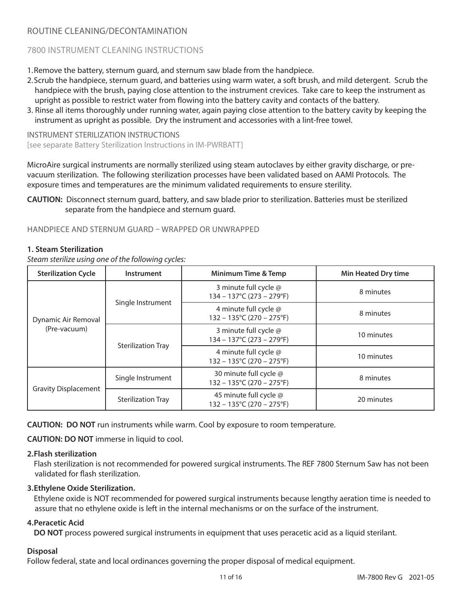## ROUTINE CLEANING/DECONTAMINATION

## 7800 INSTRUMENT CLEANING INSTRUCTIONS

1.Remove the battery, sternum guard, and sternum saw blade from the handpiece.

- 2.Scrub the handpiece, sternum guard, and batteries using warm water, a soft brush, and mild detergent. Scrub the handpiece with the brush, paying close attention to the instrument crevices. Take care to keep the instrument as upright as possible to restrict water from flowing into the battery cavity and contacts of the battery.
- 3. Rinse all items thoroughly under running water, again paying close attention to the battery cavity by keeping the instrument as upright as possible. Dry the instrument and accessories with a lint-free towel.

INSTRUMENT STERILIZATION INSTRUCTIONS [see separate Battery Sterilization Instructions in IM-PWRBATT]

MicroAire surgical instruments are normally sterilized using steam autoclaves by either gravity discharge, or prevacuum sterilization. The following sterilization processes have been validated based on AAMI Protocols. The exposure times and temperatures are the minimum validated requirements to ensure sterility.

**CAUTION:** Disconnect sternum guard, battery, and saw blade prior to sterilization. Batteries must be sterilized separate from the handpiece and sternum guard.

HANDPIECE AND STERNUM GUARD – WRAPPED OR UNWRAPPED

#### **1. Steam Sterilization**

*Steam sterilize using one of the following cycles:*

| <b>Sterilization Cycle</b>          | Instrument                | Minimum Time & Temp                                                      | <b>Min Heated Dry time</b> |
|-------------------------------------|---------------------------|--------------------------------------------------------------------------|----------------------------|
| Dynamic Air Removal<br>(Pre-vacuum) | Single Instrument         | 3 minute full cycle @<br>$134 - 137^{\circ}C (273 - 279^{\circ}F)$       | 8 minutes                  |
|                                     |                           | 4 minute full cycle @<br>$132 - 135^{\circ}$ C (270 - 275 $^{\circ}$ F)  | 8 minutes                  |
|                                     | <b>Sterilization Tray</b> | 3 minute full cycle @<br>$134 - 137^{\circ}C (273 - 279^{\circ}F)$       | 10 minutes                 |
|                                     |                           | 4 minute full cycle @<br>$132 - 135^{\circ}$ C (270 - 275 $^{\circ}$ F)  | 10 minutes                 |
| <b>Gravity Displacement</b>         | Single Instrument         | 30 minute full cycle @<br>$132 - 135^{\circ}$ C (270 - 275 $^{\circ}$ F) | 8 minutes                  |
|                                     | <b>Sterilization Tray</b> | 45 minute full cycle @<br>$132 - 135^{\circ}$ C (270 – 275°F)            | 20 minutes                 |

**CAUTION: DO NOT** run instruments while warm. Cool by exposure to room temperature.

**CAUTION: DO NOT** immerse in liquid to cool.

#### **2.Flash sterilization**

Flash sterilization is not recommended for powered surgical instruments. The REF 7800 Sternum Saw has not been validated for flash sterilization.

#### **3.Ethylene Oxide Sterilization.**

Ethylene oxide is NOT recommended for powered surgical instruments because lengthy aeration time is needed to assure that no ethylene oxide is left in the internal mechanisms or on the surface of the instrument.

#### **4.Peracetic Acid**

**DO NOT** process powered surgical instruments in equipment that uses peracetic acid as a liquid sterilant.

#### **Disposal**

Follow federal, state and local ordinances governing the proper disposal of medical equipment.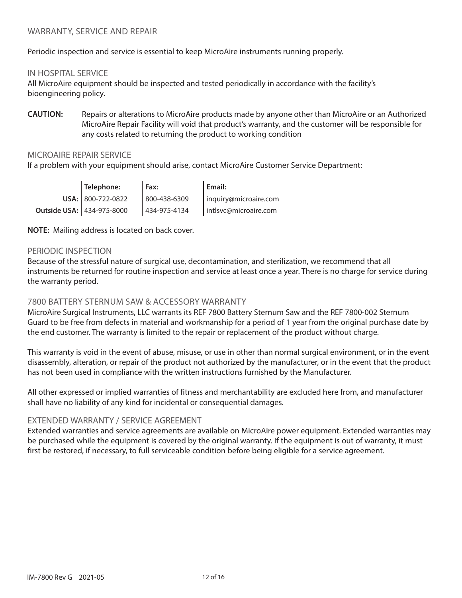Periodic inspection and service is essential to keep MicroAire instruments running properly.

#### IN HOSPITAL SERVICE

All MicroAire equipment should be inspected and tested periodically in accordance with the facility's bioengineering policy.

**CAUTION:** Repairs or alterations to MicroAire products made by anyone other than MicroAire or an Authorized MicroAire Repair Facility will void that product's warranty, and the customer will be responsible for any costs related to returning the product to working condition

## MICROAIRE REPAIR SERVICE

If a problem with your equipment should arise, contact MicroAire Customer Service Department:

| Telephone:                | $I$ Fax:     | Email:                |
|---------------------------|--------------|-----------------------|
| USA: 800-722-0822         | 800-438-6309 | inquiry@microaire.com |
| Outside USA: 434-975-8000 | 434-975-4134 | intlsvc@microaire.com |

**NOTE:** Mailing address is located on back cover.

#### PERIODIC INSPECTION

Because of the stressful nature of surgical use, decontamination, and sterilization, we recommend that all instruments be returned for routine inspection and service at least once a year. There is no charge for service during the warranty period.

#### 7800 BATTERY STERNUM SAW & ACCESSORY WARRANTY

MicroAire Surgical Instruments, LLC warrants its REF 7800 Battery Sternum Saw and the REF 7800-002 Sternum Guard to be free from defects in material and workmanship for a period of 1 year from the original purchase date by the end customer. The warranty is limited to the repair or replacement of the product without charge.

This warranty is void in the event of abuse, misuse, or use in other than normal surgical environment, or in the event disassembly, alteration, or repair of the product not authorized by the manufacturer, or in the event that the product has not been used in compliance with the written instructions furnished by the Manufacturer.

All other expressed or implied warranties of fitness and merchantability are excluded here from, and manufacturer shall have no liability of any kind for incidental or consequential damages.

#### EXTENDED WARRANTY / SERVICE AGREEMENT

Extended warranties and service agreements are available on MicroAire power equipment. Extended warranties may be purchased while the equipment is covered by the original warranty. If the equipment is out of warranty, it must first be restored, if necessary, to full serviceable condition before being eligible for a service agreement.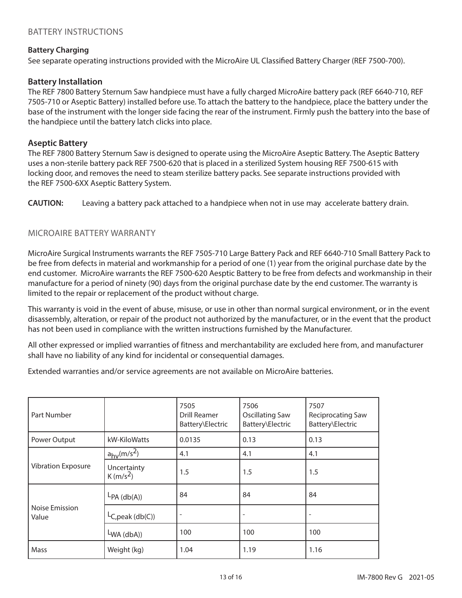## BATTERY INSTRUCTIONS

#### **Battery Charging**

See separate operating instructions provided with the MicroAire UL Classified Battery Charger (REF 7500-700).

#### **Battery Installation**

The REF 7800 Battery Sternum Saw handpiece must have a fully charged MicroAire battery pack (REF 6640-710, REF 7505-710 or Aseptic Battery) installed before use. To attach the battery to the handpiece, place the battery under the base of the instrument with the longer side facing the rear of the instrument. Firmly push the battery into the base of the handpiece until the battery latch clicks into place.

#### **Aseptic Battery**

The REF 7800 Battery Sternum Saw is designed to operate using the MicroAire Aseptic Battery. The Aseptic Battery uses a non-sterile battery pack REF 7500-620 that is placed in a sterilized System housing REF 7500-615 with locking door, and removes the need to steam sterilize battery packs. See separate instructions provided with the REF 7500-6XX Aseptic Battery System.

**CAUTION:** Leaving a battery pack attached to a handpiece when not in use may accelerate battery drain.

#### MICROAIRE BATTERY WARRANTY

MicroAire Surgical Instruments warrants the REF 7505-710 Large Battery Pack and REF 6640-710 Small Battery Pack to be free from defects in material and workmanship for a period of one (1) year from the original purchase date by the end customer. MicroAire warrants the REF 7500-620 Aesptic Battery to be free from defects and workmanship in their manufacture for a period of ninety (90) days from the original purchase date by the end customer. The warranty is limited to the repair or replacement of the product without charge.

This warranty is void in the event of abuse, misuse, or use in other than normal surgical environment, or in the event disassembly, alteration, or repair of the product not authorized by the manufacturer, or in the event that the product has not been used in compliance with the written instructions furnished by the Manufacturer.

All other expressed or implied warranties of fitness and merchantability are excluded here from, and manufacturer shall have no liability of any kind for incidental or consequential damages.

Extended warranties and/or service agreements are not available on MicroAire batteries.

| Part Number               |                              | 7505<br><b>Drill Reamer</b><br>Battery\Electric | 7506<br><b>Oscillating Saw</b><br>Battery\Electric | 7507<br><b>Reciprocating Saw</b><br>Battery\Electric |
|---------------------------|------------------------------|-------------------------------------------------|----------------------------------------------------|------------------------------------------------------|
| Power Output              | kW-KiloWatts                 | 0.0135                                          | 0.13                                               | 0.13                                                 |
|                           | $a_{hv}$ (m/s <sup>2</sup> ) | 4.1                                             | 4.1                                                | 4.1                                                  |
| <b>Vibration Exposure</b> | Uncertainty<br>$K(m/s^2)$    | 1.5                                             | 1.5                                                | 1.5                                                  |
|                           | $LPA$ (db(A))                | 84                                              | 84                                                 | 84                                                   |
| Noise Emission<br>Value   | $LC,peak$ (db(C))            |                                                 |                                                    |                                                      |
|                           | $LWA$ (dbA))                 | 100                                             | 100                                                | 100                                                  |
| Mass                      | Weight (kg)                  | 1.04                                            | 1.19                                               | 1.16                                                 |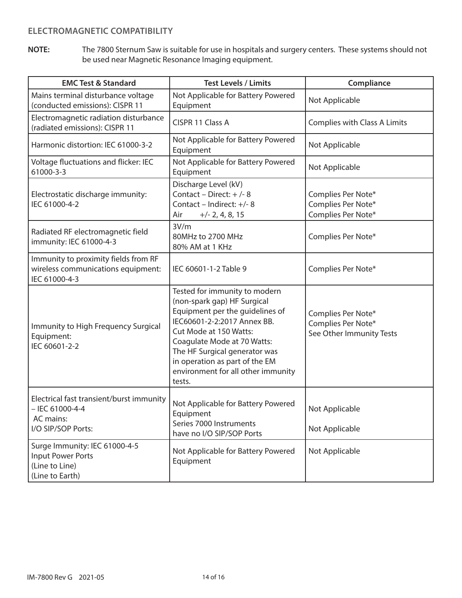## **ELECTROMAGNETIC COMPATIBILITY**

**NOTE:** The 7800 Sternum Saw is suitable for use in hospitals and surgery centers. These systems should not be used near Magnetic Resonance Imaging equipment.

| <b>EMC Test &amp; Standard</b>                                                                   | <b>Test Levels / Limits</b>                                                                                                                                                                                                                                                                                | Compliance                                                           |
|--------------------------------------------------------------------------------------------------|------------------------------------------------------------------------------------------------------------------------------------------------------------------------------------------------------------------------------------------------------------------------------------------------------------|----------------------------------------------------------------------|
| Mains terminal disturbance voltage<br>(conducted emissions): CISPR 11                            | Not Applicable for Battery Powered<br>Equipment                                                                                                                                                                                                                                                            | Not Applicable                                                       |
| Electromagnetic radiation disturbance<br>(radiated emissions): CISPR 11                          | CISPR 11 Class A                                                                                                                                                                                                                                                                                           | Complies with Class A Limits                                         |
| Harmonic distortion: IEC 61000-3-2                                                               | Not Applicable for Battery Powered<br>Equipment                                                                                                                                                                                                                                                            | Not Applicable                                                       |
| Voltage fluctuations and flicker: IEC<br>61000-3-3                                               | Not Applicable for Battery Powered<br>Equipment                                                                                                                                                                                                                                                            | Not Applicable                                                       |
| Electrostatic discharge immunity:<br>IEC 61000-4-2                                               | Discharge Level (kV)<br>Contact - Direct: $+/-8$<br>Contact - Indirect: +/-8<br>$+/- 2, 4, 8, 15$<br>Air                                                                                                                                                                                                   | Complies Per Note*<br>Complies Per Note*<br>Complies Per Note*       |
| Radiated RF electromagnetic field<br>immunity: IEC 61000-4-3                                     | 3V/m<br>80MHz to 2700 MHz<br>80% AM at 1 KHz                                                                                                                                                                                                                                                               | Complies Per Note*                                                   |
| Immunity to proximity fields from RF<br>wireless communications equipment:<br>IEC 61000-4-3      | IEC 60601-1-2 Table 9                                                                                                                                                                                                                                                                                      | Complies Per Note*                                                   |
| Immunity to High Frequency Surgical<br>Equipment:<br>IEC 60601-2-2                               | Tested for immunity to modern<br>(non-spark gap) HF Surgical<br>Equipment per the guidelines of<br>IEC60601-2-2:2017 Annex BB.<br>Cut Mode at 150 Watts:<br>Coagulate Mode at 70 Watts:<br>The HF Surgical generator was<br>in operation as part of the EM<br>environment for all other immunity<br>tests. | Complies Per Note*<br>Complies Per Note*<br>See Other Immunity Tests |
| Electrical fast transient/burst immunity<br>$-$ IEC 61000-4-4<br>AC mains:<br>I/O SIP/SOP Ports: | Not Applicable for Battery Powered<br>Equipment<br>Series 7000 Instruments<br>have no I/O SIP/SOP Ports                                                                                                                                                                                                    | Not Applicable<br>Not Applicable                                     |
| Surge Immunity: IEC 61000-4-5<br><b>Input Power Ports</b><br>(Line to Line)<br>(Line to Earth)   | Not Applicable for Battery Powered<br>Equipment                                                                                                                                                                                                                                                            | Not Applicable                                                       |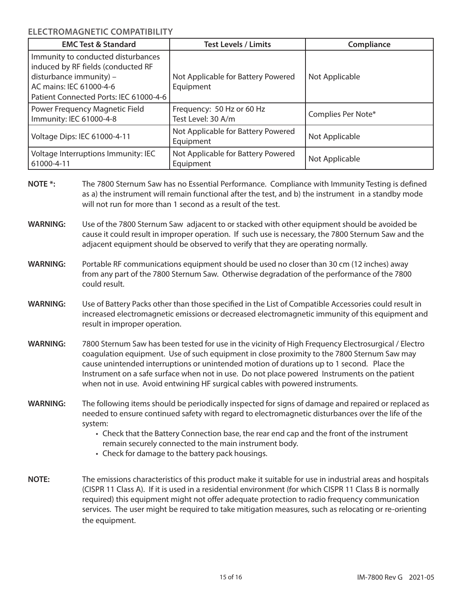**ELECTROMAGNETIC COMPATIBILITY**

| <b>EMC Test &amp; Standard</b>                                                                                                                                           | <b>Test Levels / Limits</b>                     | Compliance         |
|--------------------------------------------------------------------------------------------------------------------------------------------------------------------------|-------------------------------------------------|--------------------|
| Immunity to conducted disturbances<br>induced by RF fields (conducted RF<br>disturbance immunity) -<br>AC mains: IEC 61000-4-6<br>Patient Connected Ports: IEC 61000-4-6 | Not Applicable for Battery Powered<br>Equipment | Not Applicable     |
| Power Frequency Magnetic Field<br>Immunity: IEC 61000-4-8                                                                                                                | Frequency: 50 Hz or 60 Hz<br>Test Level: 30 A/m | Complies Per Note* |
| Voltage Dips: IEC 61000-4-11                                                                                                                                             | Not Applicable for Battery Powered<br>Equipment | Not Applicable     |
| Voltage Interruptions Immunity: IEC<br>61000-4-11                                                                                                                        | Not Applicable for Battery Powered<br>Equipment | Not Applicable     |

- **NOTE \*:** The 7800 Sternum Saw has no Essential Performance. Compliance with Immunity Testing is defined as a) the instrument will remain functional after the test, and b) the instrument in a standby mode will not run for more than 1 second as a result of the test.
- **WARNING:** Use of the 7800 Sternum Saw adjacent to or stacked with other equipment should be avoided be cause it could result in improper operation. If such use is necessary, the 7800 Sternum Saw and the adjacent equipment should be observed to verify that they are operating normally.
- **WARNING:** Portable RF communications equipment should be used no closer than 30 cm (12 inches) away from any part of the 7800 Sternum Saw. Otherwise degradation of the performance of the 7800 could result.
- **WARNING:** Use of Battery Packs other than those specified in the List of Compatible Accessories could result in increased electromagnetic emissions or decreased electromagnetic immunity of this equipment and result in improper operation.
- **WARNING:** 7800 Sternum Saw has been tested for use in the vicinity of High Frequency Electrosurgical / Electro coagulation equipment. Use of such equipment in close proximity to the 7800 Sternum Saw may cause unintended interruptions or unintended motion of durations up to 1 second. Place the Instrument on a safe surface when not in use. Do not place powered Instruments on the patient when not in use. Avoid entwining HF surgical cables with powered instruments.
- **WARNING:** The following items should be periodically inspected for signs of damage and repaired or replaced as needed to ensure continued safety with regard to electromagnetic disturbances over the life of the system:
	- Check that the Battery Connection base, the rear end cap and the front of the instrument remain securely connected to the main instrument body.
	- Check for damage to the battery pack housings.
- **NOTE:** The emissions characteristics of this product make it suitable for use in industrial areas and hospitals (CISPR 11 Class A). If it is used in a residential environment (for which CISPR 11 Class B is normally required) this equipment might not offer adequate protection to radio frequency communication services. The user might be required to take mitigation measures, such as relocating or re-orienting the equipment.